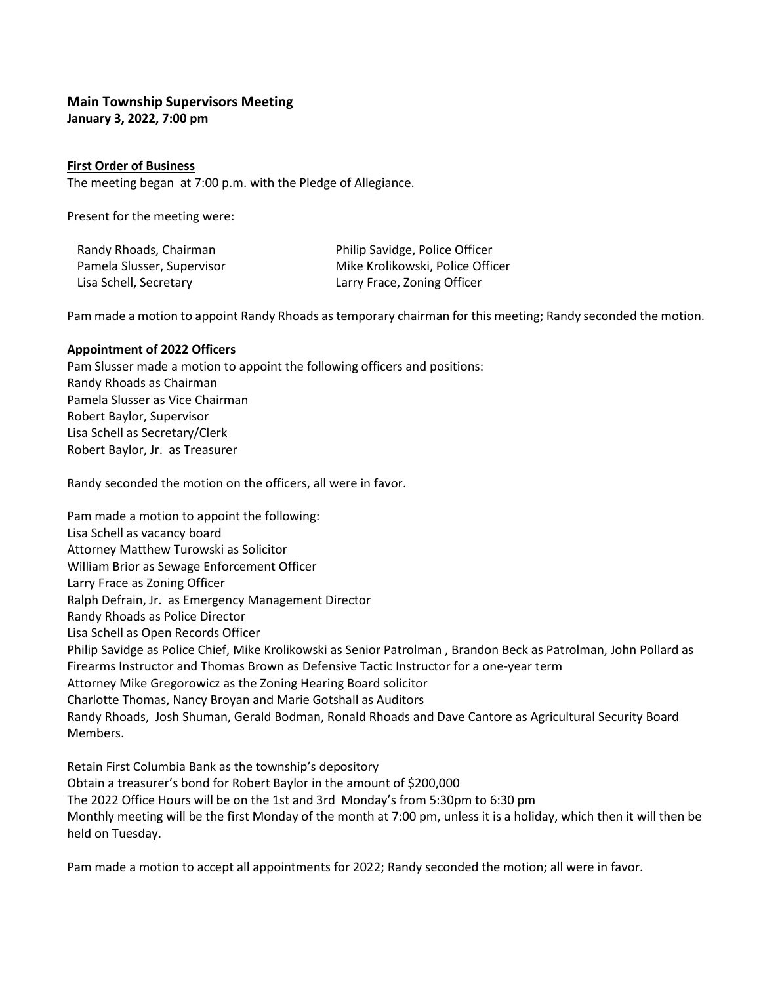# **Main Township Supervisors Meeting**

**January 3, 2022, 7:00 pm**

## **First Order of Business**

The meeting began at 7:00 p.m. with the Pledge of Allegiance.

Present for the meeting were:

| Randy Rhoads, Chairman     | Philip Savidge, Police Officer   |
|----------------------------|----------------------------------|
| Pamela Slusser, Supervisor | Mike Krolikowski, Police Officer |
| Lisa Schell, Secretary     | Larry Frace, Zoning Officer      |

Pam made a motion to appoint Randy Rhoads as temporary chairman for this meeting; Randy seconded the motion.

## **Appointment of 2022 Officers**

Pam Slusser made a motion to appoint the following officers and positions: Randy Rhoads as Chairman Pamela Slusser as Vice Chairman Robert Baylor, Supervisor Lisa Schell as Secretary/Clerk Robert Baylor, Jr. as Treasurer

Randy seconded the motion on the officers, all were in favor.

Pam made a motion to appoint the following: Lisa Schell as vacancy board Attorney Matthew Turowski as Solicitor William Brior as Sewage Enforcement Officer Larry Frace as Zoning Officer Ralph Defrain, Jr. as Emergency Management Director Randy Rhoads as Police Director Lisa Schell as Open Records Officer Philip Savidge as Police Chief, Mike Krolikowski as Senior Patrolman , Brandon Beck as Patrolman, John Pollard as Firearms Instructor and Thomas Brown as Defensive Tactic Instructor for a one-year term Attorney Mike Gregorowicz as the Zoning Hearing Board solicitor Charlotte Thomas, Nancy Broyan and Marie Gotshall as Auditors Randy Rhoads, Josh Shuman, Gerald Bodman, Ronald Rhoads and Dave Cantore as Agricultural Security Board Members.

Retain First Columbia Bank as the township's depository Obtain a treasurer's bond for Robert Baylor in the amount of \$200,000 The 2022 Office Hours will be on the 1st and 3rd Monday's from 5:30pm to 6:30 pm Monthly meeting will be the first Monday of the month at 7:00 pm, unless it is a holiday, which then it will then be held on Tuesday.

Pam made a motion to accept all appointments for 2022; Randy seconded the motion; all were in favor.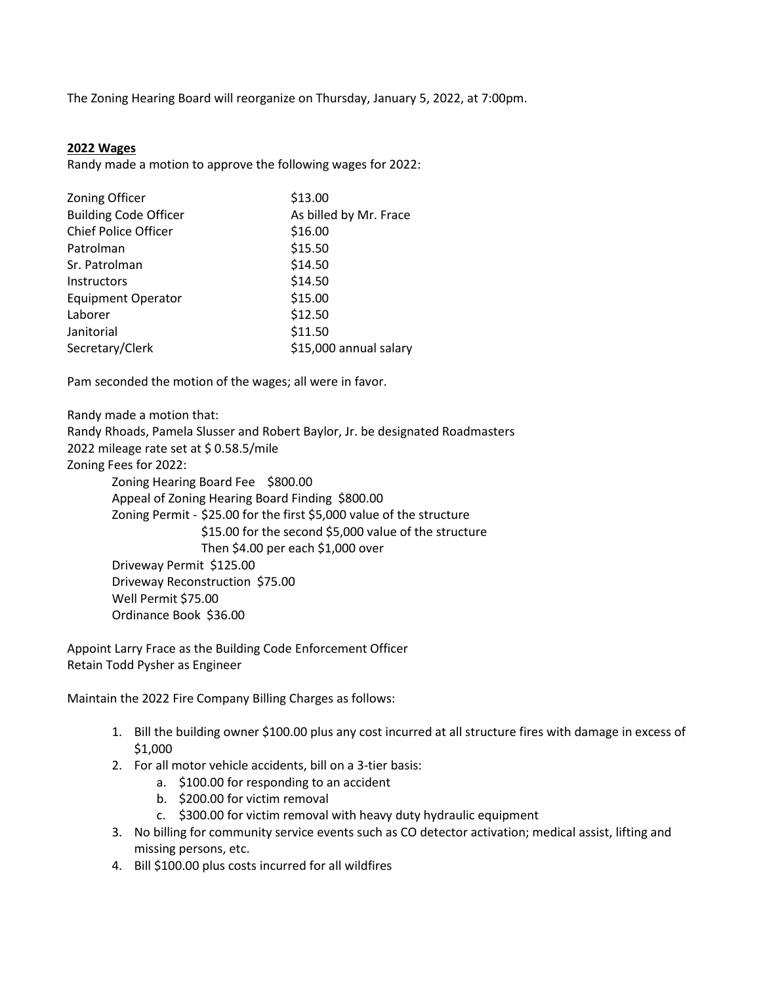The Zoning Hearing Board will reorganize on Thursday, January 5, 2022, at 7:00pm.

## **2022 Wages**

Randy made a motion to approve the following wages for 2022:

| Zoning Officer               | \$13.00                |  |
|------------------------------|------------------------|--|
| <b>Building Code Officer</b> | As billed by Mr. Frace |  |
| <b>Chief Police Officer</b>  | \$16.00                |  |
| Patrolman                    | \$15.50                |  |
| Sr. Patrolman                | \$14.50                |  |
| <b>Instructors</b>           | \$14.50                |  |
| <b>Equipment Operator</b>    | \$15.00                |  |
| Laborer                      | \$12.50                |  |
| Janitorial                   | \$11.50                |  |
| Secretary/Clerk              | \$15,000 annual salary |  |

Pam seconded the motion of the wages; all were in favor.

Randy made a motion that:

Randy Rhoads, Pamela Slusser and Robert Baylor, Jr. be designated Roadmasters

2022 mileage rate set at \$ 0.58.5/mile

Zoning Fees for 2022:

Zoning Hearing Board Fee \$800.00 Appeal of Zoning Hearing Board Finding \$800.00 Zoning Permit - \$25.00 for the first \$5,000 value of the structure \$15.00 for the second \$5,000 value of the structure Then \$4.00 per each \$1,000 over Driveway Permit \$125.00 Driveway Reconstruction \$75.00 Well Permit \$75.00 Ordinance Book \$36.00

Appoint Larry Frace as the Building Code Enforcement Officer Retain Todd Pysher as Engineer

Maintain the 2022 Fire Company Billing Charges as follows:

- 1. Bill the building owner \$100.00 plus any cost incurred at all structure fires with damage in excess of \$1,000
- 2. For all motor vehicle accidents, bill on a 3-tier basis:
	- a. \$100.00 for responding to an accident
	- b. \$200.00 for victim removal
	- c. \$300.00 for victim removal with heavy duty hydraulic equipment
- 3. No billing for community service events such as CO detector activation; medical assist, lifting and missing persons, etc.
- 4. Bill \$100.00 plus costs incurred for all wildfires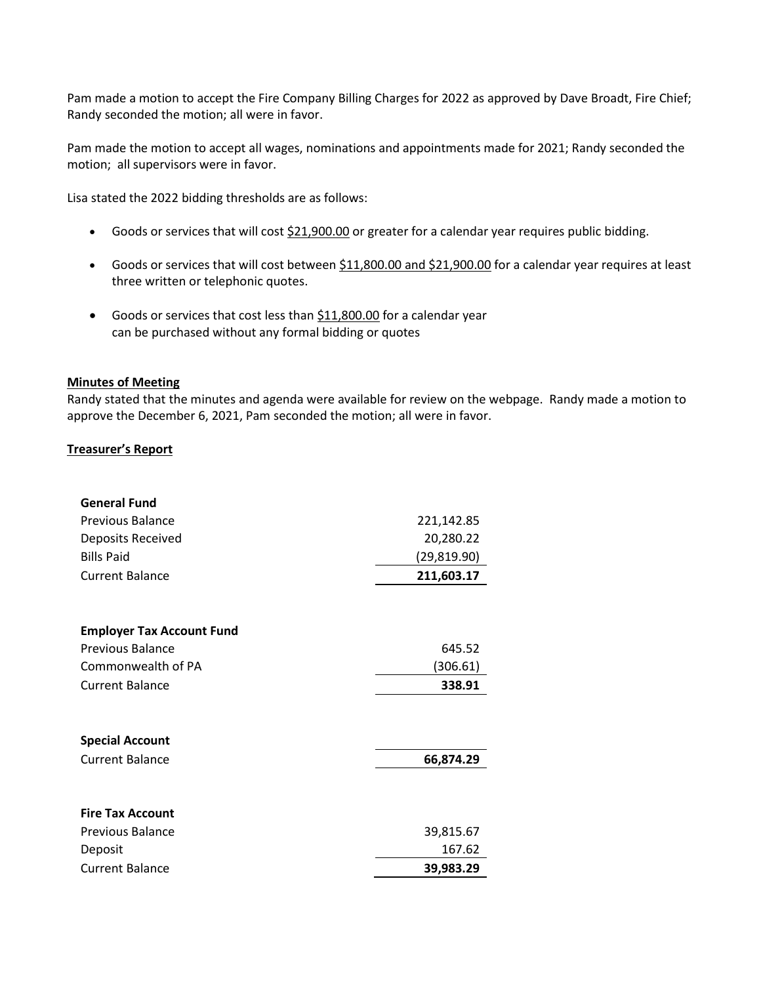Pam made a motion to accept the Fire Company Billing Charges for 2022 as approved by Dave Broadt, Fire Chief; Randy seconded the motion; all were in favor.

Pam made the motion to accept all wages, nominations and appointments made for 2021; Randy seconded the motion; all supervisors were in favor.

Lisa stated the 2022 bidding thresholds are as follows:

- Goods or services that will cost \$21,900.00 or greater for a calendar year requires public bidding.
- Goods or services that will cost between \$11,800.00 and \$21,900.00 for a calendar year requires at least three written or telephonic quotes.
- Goods or services that cost less than \$11,800.00 for a calendar year can be purchased without any formal bidding or quotes

## **Minutes of Meeting**

Randy stated that the minutes and agenda were available for review on the webpage. Randy made a motion to approve the December 6, 2021, Pam seconded the motion; all were in favor.

## **Treasurer's Report**

| <b>General Fund</b>              |              |
|----------------------------------|--------------|
| <b>Previous Balance</b>          | 221,142.85   |
| Deposits Received                | 20,280.22    |
| <b>Bills Paid</b>                | (29, 819.90) |
| <b>Current Balance</b>           | 211,603.17   |
|                                  |              |
| <b>Employer Tax Account Fund</b> |              |
| <b>Previous Balance</b>          | 645.52       |
| Commonwealth of PA               | (306.61)     |
| <b>Current Balance</b>           | 338.91       |
|                                  |              |
| <b>Special Account</b>           |              |
| <b>Current Balance</b>           | 66,874.29    |
|                                  |              |
| <b>Fire Tax Account</b>          |              |
| <b>Previous Balance</b>          | 39,815.67    |
| Deposit                          | 167.62       |
| <b>Current Balance</b>           | 39,983.29    |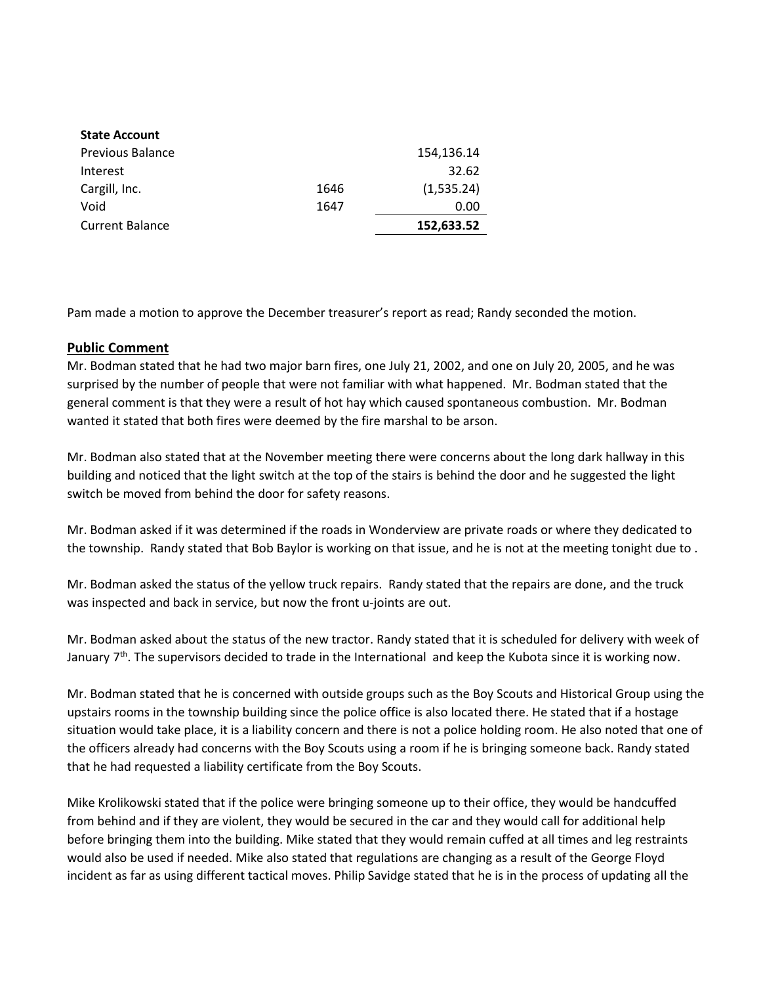| <b>State Account</b>    |      |            |
|-------------------------|------|------------|
| <b>Previous Balance</b> |      | 154,136.14 |
| Interest                |      | 32.62      |
| Cargill, Inc.           | 1646 | (1,535.24) |
| Void                    | 1647 | 0.00       |
| <b>Current Balance</b>  |      | 152,633.52 |

Pam made a motion to approve the December treasurer's report as read; Randy seconded the motion.

## **Public Comment**

Mr. Bodman stated that he had two major barn fires, one July 21, 2002, and one on July 20, 2005, and he was surprised by the number of people that were not familiar with what happened. Mr. Bodman stated that the general comment is that they were a result of hot hay which caused spontaneous combustion. Mr. Bodman wanted it stated that both fires were deemed by the fire marshal to be arson.

Mr. Bodman also stated that at the November meeting there were concerns about the long dark hallway in this building and noticed that the light switch at the top of the stairs is behind the door and he suggested the light switch be moved from behind the door for safety reasons.

Mr. Bodman asked if it was determined if the roads in Wonderview are private roads or where they dedicated to the township. Randy stated that Bob Baylor is working on that issue, and he is not at the meeting tonight due to .

Mr. Bodman asked the status of the yellow truck repairs. Randy stated that the repairs are done, and the truck was inspected and back in service, but now the front u-joints are out.

Mr. Bodman asked about the status of the new tractor. Randy stated that it is scheduled for delivery with week of January 7<sup>th</sup>. The supervisors decided to trade in the International and keep the Kubota since it is working now.

Mr. Bodman stated that he is concerned with outside groups such as the Boy Scouts and Historical Group using the upstairs rooms in the township building since the police office is also located there. He stated that if a hostage situation would take place, it is a liability concern and there is not a police holding room. He also noted that one of the officers already had concerns with the Boy Scouts using a room if he is bringing someone back. Randy stated that he had requested a liability certificate from the Boy Scouts.

Mike Krolikowski stated that if the police were bringing someone up to their office, they would be handcuffed from behind and if they are violent, they would be secured in the car and they would call for additional help before bringing them into the building. Mike stated that they would remain cuffed at all times and leg restraints would also be used if needed. Mike also stated that regulations are changing as a result of the George Floyd incident as far as using different tactical moves. Philip Savidge stated that he is in the process of updating all the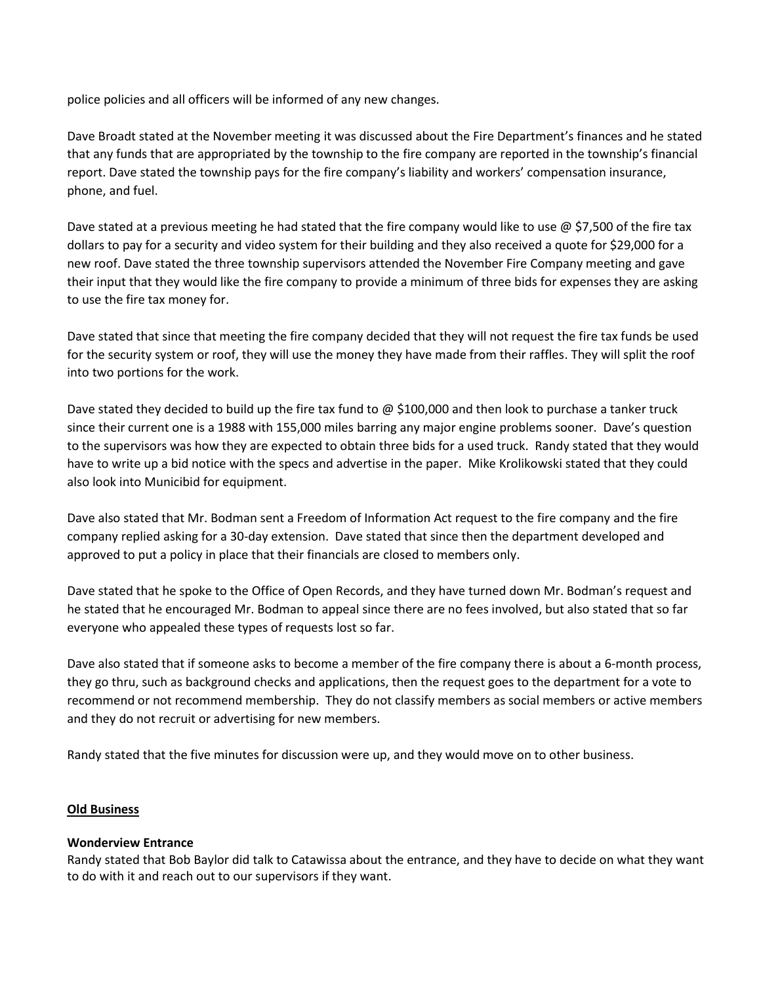police policies and all officers will be informed of any new changes.

Dave Broadt stated at the November meeting it was discussed about the Fire Department's finances and he stated that any funds that are appropriated by the township to the fire company are reported in the township's financial report. Dave stated the township pays for the fire company's liability and workers' compensation insurance, phone, and fuel.

Dave stated at a previous meeting he had stated that the fire company would like to use  $\omega$  \$7,500 of the fire tax dollars to pay for a security and video system for their building and they also received a quote for \$29,000 for a new roof. Dave stated the three township supervisors attended the November Fire Company meeting and gave their input that they would like the fire company to provide a minimum of three bids for expenses they are asking to use the fire tax money for.

Dave stated that since that meeting the fire company decided that they will not request the fire tax funds be used for the security system or roof, they will use the money they have made from their raffles. They will split the roof into two portions for the work.

Dave stated they decided to build up the fire tax fund to  $\omega$  \$100,000 and then look to purchase a tanker truck since their current one is a 1988 with 155,000 miles barring any major engine problems sooner. Dave's question to the supervisors was how they are expected to obtain three bids for a used truck. Randy stated that they would have to write up a bid notice with the specs and advertise in the paper. Mike Krolikowski stated that they could also look into Municibid for equipment.

Dave also stated that Mr. Bodman sent a Freedom of Information Act request to the fire company and the fire company replied asking for a 30-day extension. Dave stated that since then the department developed and approved to put a policy in place that their financials are closed to members only.

Dave stated that he spoke to the Office of Open Records, and they have turned down Mr. Bodman's request and he stated that he encouraged Mr. Bodman to appeal since there are no fees involved, but also stated that so far everyone who appealed these types of requests lost so far.

Dave also stated that if someone asks to become a member of the fire company there is about a 6-month process, they go thru, such as background checks and applications, then the request goes to the department for a vote to recommend or not recommend membership. They do not classify members as social members or active members and they do not recruit or advertising for new members.

Randy stated that the five minutes for discussion were up, and they would move on to other business.

## **Old Business**

## **Wonderview Entrance**

Randy stated that Bob Baylor did talk to Catawissa about the entrance, and they have to decide on what they want to do with it and reach out to our supervisors if they want.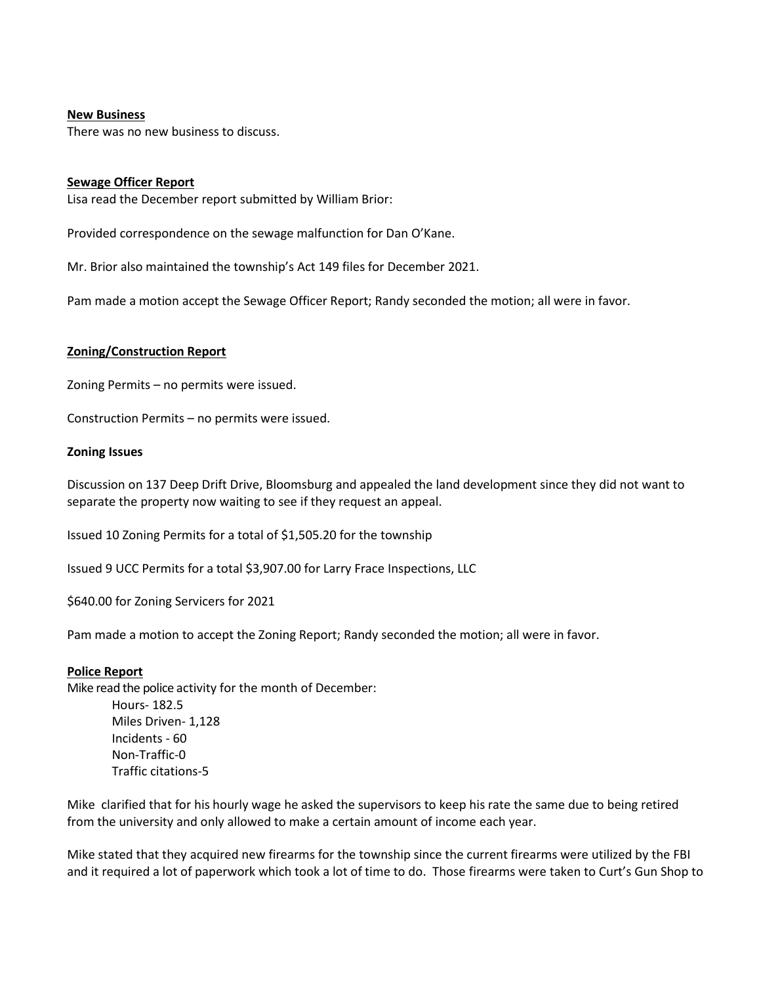## **New Business**

There was no new business to discuss.

#### **Sewage Officer Report**

Lisa read the December report submitted by William Brior:

Provided correspondence on the sewage malfunction for Dan O'Kane.

Mr. Brior also maintained the township's Act 149 files for December 2021.

Pam made a motion accept the Sewage Officer Report; Randy seconded the motion; all were in favor.

#### **Zoning/Construction Report**

Zoning Permits – no permits were issued.

Construction Permits – no permits were issued.

#### **Zoning Issues**

Discussion on 137 Deep Drift Drive, Bloomsburg and appealed the land development since they did not want to separate the property now waiting to see if they request an appeal.

Issued 10 Zoning Permits for a total of \$1,505.20 for the township

Issued 9 UCC Permits for a total \$3,907.00 for Larry Frace Inspections, LLC

\$640.00 for Zoning Servicers for 2021

Pam made a motion to accept the Zoning Report; Randy seconded the motion; all were in favor.

#### **Police Report**

Mike read the police activity for the month of December:

Hours- 182.5 Miles Driven- 1,128 Incidents - 60 Non-Traffic-0 Traffic citations-5

Mike clarified that for his hourly wage he asked the supervisors to keep his rate the same due to being retired from the university and only allowed to make a certain amount of income each year.

Mike stated that they acquired new firearms for the township since the current firearms were utilized by the FBI and it required a lot of paperwork which took a lot of time to do. Those firearms were taken to Curt's Gun Shop to